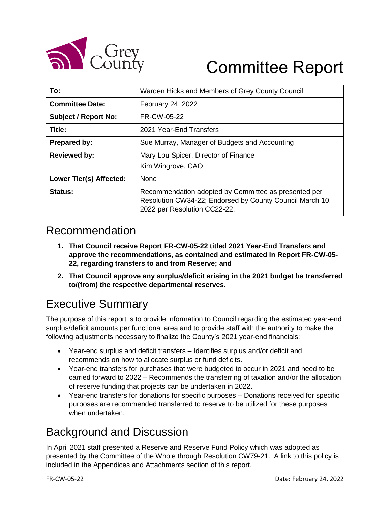

# Committee Report

| To:                         | Warden Hicks and Members of Grey County Council                                                                                                  |  |  |
|-----------------------------|--------------------------------------------------------------------------------------------------------------------------------------------------|--|--|
| <b>Committee Date:</b>      | February 24, 2022                                                                                                                                |  |  |
| <b>Subject / Report No:</b> | FR-CW-05-22                                                                                                                                      |  |  |
| Title:                      | 2021 Year-End Transfers                                                                                                                          |  |  |
| <b>Prepared by:</b>         | Sue Murray, Manager of Budgets and Accounting                                                                                                    |  |  |
| <b>Reviewed by:</b>         | Mary Lou Spicer, Director of Finance<br>Kim Wingrove, CAO                                                                                        |  |  |
| Lower Tier(s) Affected:     | <b>None</b>                                                                                                                                      |  |  |
| Status:                     | Recommendation adopted by Committee as presented per<br>Resolution CW34-22; Endorsed by County Council March 10,<br>2022 per Resolution CC22-22; |  |  |

#### Recommendation

- **1. That Council receive Report FR-CW-05-22 titled 2021 Year-End Transfers and approve the recommendations, as contained and estimated in Report FR-CW-05- 22, regarding transfers to and from Reserve; and**
- **2. That Council approve any surplus/deficit arising in the 2021 budget be transferred to/(from) the respective departmental reserves.**

#### Executive Summary

The purpose of this report is to provide information to Council regarding the estimated year-end surplus/deficit amounts per functional area and to provide staff with the authority to make the following adjustments necessary to finalize the County's 2021 year-end financials:

- Year-end surplus and deficit transfers Identifies surplus and/or deficit and recommends on how to allocate surplus or fund deficits.
- Year-end transfers for purchases that were budgeted to occur in 2021 and need to be carried forward to 2022 – Recommends the transferring of taxation and/or the allocation of reserve funding that projects can be undertaken in 2022.
- Year-end transfers for donations for specific purposes Donations received for specific purposes are recommended transferred to reserve to be utilized for these purposes when undertaken.

#### Background and Discussion

In April 2021 staff presented a Reserve and Reserve Fund Policy which was adopted as presented by the Committee of the Whole through Resolution CW79-21. A link to this policy is included in the Appendices and Attachments section of this report.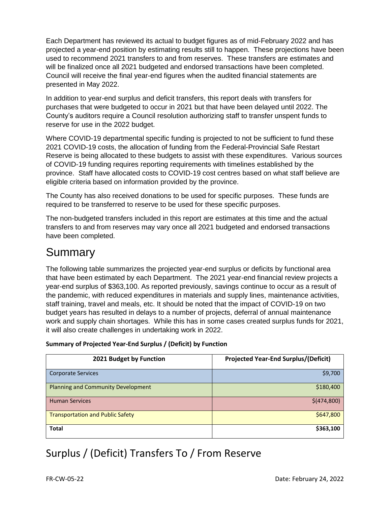Each Department has reviewed its actual to budget figures as of mid-February 2022 and has projected a year-end position by estimating results still to happen. These projections have been used to recommend 2021 transfers to and from reserves. These transfers are estimates and will be finalized once all 2021 budgeted and endorsed transactions have been completed. Council will receive the final year-end figures when the audited financial statements are presented in May 2022.

In addition to year-end surplus and deficit transfers, this report deals with transfers for purchases that were budgeted to occur in 2021 but that have been delayed until 2022. The County's auditors require a Council resolution authorizing staff to transfer unspent funds to reserve for use in the 2022 budget.

Where COVID-19 departmental specific funding is projected to not be sufficient to fund these 2021 COVID-19 costs, the allocation of funding from the Federal-Provincial Safe Restart Reserve is being allocated to these budgets to assist with these expenditures. Various sources of COVID-19 funding requires reporting requirements with timelines established by the province. Staff have allocated costs to COVID-19 cost centres based on what staff believe are eligible criteria based on information provided by the province.

The County has also received donations to be used for specific purposes. These funds are required to be transferred to reserve to be used for these specific purposes.

The non-budgeted transfers included in this report are estimates at this time and the actual transfers to and from reserves may vary once all 2021 budgeted and endorsed transactions have been completed.

#### Summary

The following table summarizes the projected year-end surplus or deficits by functional area that have been estimated by each Department. The 2021 year-end financial review projects a year-end surplus of \$363,100. As reported previously, savings continue to occur as a result of the pandemic, with reduced expenditures in materials and supply lines, maintenance activities, staff training, travel and meals, etc. It should be noted that the impact of COVID-19 on two budget years has resulted in delays to a number of projects, deferral of annual maintenance work and supply chain shortages. While this has in some cases created surplus funds for 2021, it will also create challenges in undertaking work in 2022.

#### **Summary of Projected Year-End Surplus / (Deficit) by Function**

| 2021 Budget by Function                 | <b>Projected Year-End Surplus/(Deficit)</b> |
|-----------------------------------------|---------------------------------------------|
| <b>Corporate Services</b>               | \$9,700                                     |
| Planning and Community Development      | \$180,400                                   |
| <b>Human Services</b>                   | \$(474,800)                                 |
| <b>Transportation and Public Safety</b> | \$647,800                                   |
| <b>Total</b>                            | \$363,100                                   |

#### Surplus / (Deficit) Transfers To / From Reserve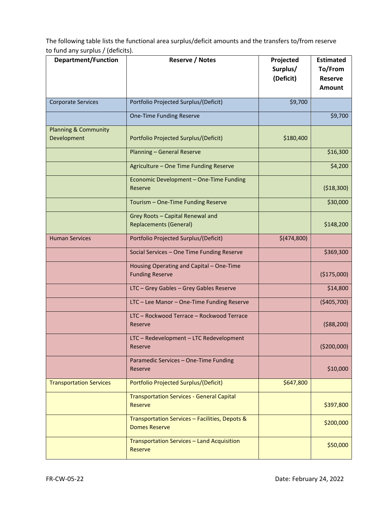The following table lists the functional area surplus/deficit amounts and the transfers to/from reserve to fund any surplus / (deficits).

| <b>Department/Function</b>                     | <b>Reserve / Notes</b>                                                 | Projected<br>Surplus/<br>(Deficit) | <b>Estimated</b><br>To/From<br><b>Reserve</b><br><b>Amount</b> |
|------------------------------------------------|------------------------------------------------------------------------|------------------------------------|----------------------------------------------------------------|
| <b>Corporate Services</b>                      | Portfolio Projected Surplus/(Deficit)                                  | \$9,700                            |                                                                |
|                                                | One-Time Funding Reserve                                               |                                    | \$9,700                                                        |
| <b>Planning &amp; Community</b><br>Development | Portfolio Projected Surplus/(Deficit)                                  | \$180,400                          |                                                                |
|                                                | <b>Planning - General Reserve</b>                                      |                                    | \$16,300                                                       |
|                                                | Agriculture - One Time Funding Reserve                                 |                                    | \$4,200                                                        |
|                                                | Economic Development - One-Time Funding<br>Reserve                     |                                    | (\$18,300)                                                     |
|                                                | Tourism - One-Time Funding Reserve                                     |                                    | \$30,000                                                       |
|                                                | Grey Roots - Capital Renewal and<br><b>Replacements (General)</b>      |                                    | \$148,200                                                      |
| <b>Human Services</b>                          | Portfolio Projected Surplus/(Deficit)                                  | \$(474,800)                        |                                                                |
|                                                | Social Services - One Time Funding Reserve                             |                                    | \$369,300                                                      |
|                                                | Housing Operating and Capital - One-Time<br><b>Funding Reserve</b>     |                                    | (\$175,000)                                                    |
|                                                | LTC - Grey Gables - Grey Gables Reserve                                |                                    | \$14,800                                                       |
|                                                | LTC - Lee Manor - One-Time Funding Reserve                             |                                    | (\$405,700)                                                    |
|                                                | LTC - Rockwood Terrace - Rockwood Terrace<br>Reserve                   |                                    | ( \$88, 200)                                                   |
|                                                | LTC - Redevelopment - LTC Redevelopment<br>Reserve                     |                                    | ( \$200,000)                                                   |
|                                                | Paramedic Services - One-Time Funding<br>Reserve                       |                                    | \$10,000                                                       |
| <b>Transportation Services</b>                 | Portfolio Projected Surplus/(Deficit)                                  | \$647,800                          |                                                                |
|                                                | <b>Transportation Services - General Capital</b><br><b>Reserve</b>     |                                    | \$397,800                                                      |
|                                                | Transportation Services - Facilities, Depots &<br><b>Domes Reserve</b> |                                    | \$200,000                                                      |
|                                                | Transportation Services - Land Acquisition<br>Reserve                  |                                    | \$50,000                                                       |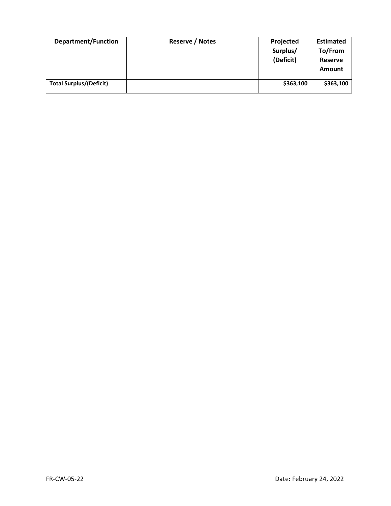| <b>Department/Function</b>     | <b>Reserve / Notes</b> | Projected<br>Surplus/<br>(Deficit) | <b>Estimated</b><br>To/From<br>Reserve<br>Amount |
|--------------------------------|------------------------|------------------------------------|--------------------------------------------------|
| <b>Total Surplus/(Deficit)</b> |                        | \$363,100                          | \$363,100                                        |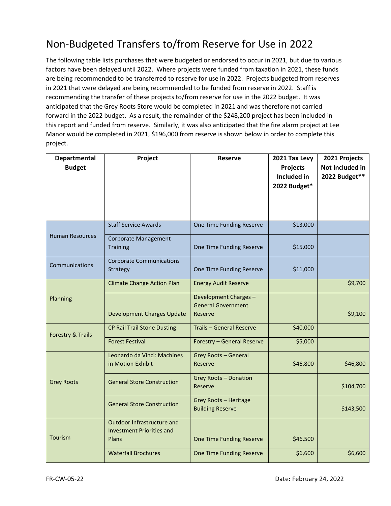#### Non-Budgeted Transfers to/from Reserve for Use in 2022

The following table lists purchases that were budgeted or endorsed to occur in 2021, but due to various factors have been delayed until 2022. Where projects were funded from taxation in 2021, these funds are being recommended to be transferred to reserve for use in 2022. Projects budgeted from reserves in 2021 that were delayed are being recommended to be funded from reserve in 2022. Staff is recommending the transfer of these projects to/from reserve for use in the 2022 budget. It was anticipated that the Grey Roots Store would be completed in 2021 and was therefore not carried forward in the 2022 budget. As a result, the remainder of the \$248,200 project has been included in this report and funded from reserve. Similarly, it was also anticipated that the fire alarm project at Lee Manor would be completed in 2021, \$196,000 from reserve is shown below in order to complete this project.

| Departmental                 | Project                                          | <b>Reserve</b>                                               | 2021 Tax Levy           | 2021 Projects                    |
|------------------------------|--------------------------------------------------|--------------------------------------------------------------|-------------------------|----------------------------------|
| <b>Budget</b>                |                                                  |                                                              | Projects<br>Included in | Not Included in<br>2022 Budget** |
|                              |                                                  |                                                              | 2022 Budget*            |                                  |
|                              |                                                  |                                                              |                         |                                  |
|                              |                                                  |                                                              |                         |                                  |
|                              | <b>Staff Service Awards</b>                      | One Time Funding Reserve                                     | \$13,000                |                                  |
| <b>Human Resources</b>       | <b>Corporate Management</b><br>Training          | One Time Funding Reserve                                     | \$15,000                |                                  |
| Communications               | <b>Corporate Communications</b><br>Strategy      | One Time Funding Reserve                                     | \$11,000                |                                  |
|                              | <b>Climate Change Action Plan</b>                | <b>Energy Audit Reserve</b>                                  |                         | \$9,700                          |
| Planning                     | <b>Development Charges Update</b>                | Development Charges-<br><b>General Government</b><br>Reserve |                         | \$9,100                          |
|                              |                                                  |                                                              |                         |                                  |
| <b>Forestry &amp; Trails</b> | <b>CP Rail Trail Stone Dusting</b>               | Trails - General Reserve                                     | \$40,000                |                                  |
|                              | <b>Forest Festival</b>                           | Forestry - General Reserve                                   | \$5,000                 |                                  |
|                              | Leonardo da Vinci: Machines<br>in Motion Exhibit | <b>Grey Roots - General</b><br>Reserve                       | \$46,800                | \$46,800                         |
| <b>Grey Roots</b>            | <b>General Store Construction</b>                | <b>Grey Roots - Donation</b><br>Reserve                      |                         | \$104,700                        |
|                              | <b>General Store Construction</b>                | Grey Roots - Heritage<br><b>Building Reserve</b>             |                         | \$143,500                        |
|                              | Outdoor Infrastructure and                       |                                                              |                         |                                  |
| Tourism                      | <b>Investment Priorities and</b><br>Plans        | One Time Funding Reserve                                     | \$46,500                |                                  |
|                              | <b>Waterfall Brochures</b>                       | One Time Funding Reserve                                     | \$6,600                 | \$6,600                          |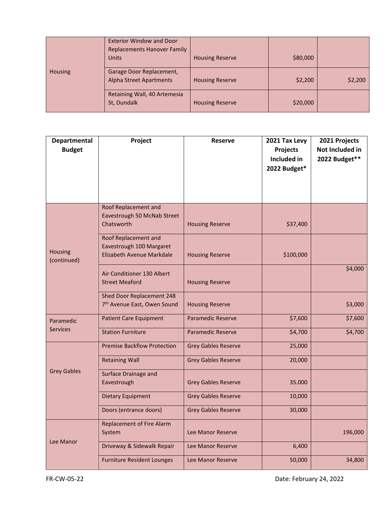|                | <b>Exterior Window and Door</b><br><b>Replacements Hanover Family</b><br>Units | <b>Housing Reserve</b> | \$80,000 |         |
|----------------|--------------------------------------------------------------------------------|------------------------|----------|---------|
| <b>Housing</b> | Garage Door Replacement,<br><b>Alpha Street Apartments</b>                     | <b>Housing Reserve</b> | \$2,200  | \$2,200 |
|                | Retaining Wall, 40 Artemesia<br>St, Dundalk                                    | <b>Housing Reserve</b> | \$20,000 |         |

| <b>Departmental</b><br><b>Budget</b> | Project                                                                       | <b>Reserve</b>             | 2021 Tax Levy<br><b>Projects</b><br>Included in | 2021 Projects<br>Not Included in<br>2022 Budget** |
|--------------------------------------|-------------------------------------------------------------------------------|----------------------------|-------------------------------------------------|---------------------------------------------------|
|                                      |                                                                               |                            | 2022 Budget*                                    |                                                   |
|                                      |                                                                               |                            |                                                 |                                                   |
|                                      | Roof Replacement and<br>Eavestrough 50 McNab Street<br>Chatsworth             | <b>Housing Reserve</b>     | \$37,400                                        |                                                   |
| Housing<br>(continued)               | Roof Replacement and<br>Eavestrough 100 Margaret<br>Elizabeth Avenue Markdale | <b>Housing Reserve</b>     | \$100,000                                       |                                                   |
|                                      | Air Conditioner 130 Albert<br><b>Street Meaford</b>                           | <b>Housing Reserve</b>     |                                                 | \$4,000                                           |
|                                      | Shed Door Replacement 248<br>7 <sup>th</sup> Avenue East, Owen Sound          | <b>Housing Reserve</b>     |                                                 | \$3,000                                           |
| Paramedic                            | <b>Patient Care Equipment</b>                                                 | <b>Paramedic Reserve</b>   | \$7,600                                         | \$7,600                                           |
| <b>Services</b>                      | <b>Station Furniture</b>                                                      | <b>Paramedic Reserve</b>   | \$4,700                                         | \$4,700                                           |
|                                      | <b>Premise Backflow Protection</b>                                            | <b>Grey Gables Reserve</b> | 25,000                                          |                                                   |
|                                      | <b>Retaining Wall</b>                                                         | <b>Grey Gables Reserve</b> | 20,000                                          |                                                   |
| <b>Grey Gables</b>                   | Surface Drainage and<br>Eavestrough                                           | <b>Grey Gables Reserve</b> | 35.000                                          |                                                   |
|                                      | <b>Dietary Equipment</b>                                                      | <b>Grey Gables Reserve</b> | 10,000                                          |                                                   |
|                                      | Doors (entrance doors)                                                        | <b>Grey Gables Reserve</b> | 30,000                                          |                                                   |
|                                      | <b>Replacement of Fire Alarm</b><br>System                                    | Lee Manor Reserve          |                                                 | 196,000                                           |
| Lee Manor                            | Driveway & Sidewalk Repair                                                    | Lee Manor Reserve          | 6,400                                           |                                                   |
|                                      | <b>Furniture Resident Lounges</b>                                             | Lee Manor Reserve          | 50,000                                          | 34,800                                            |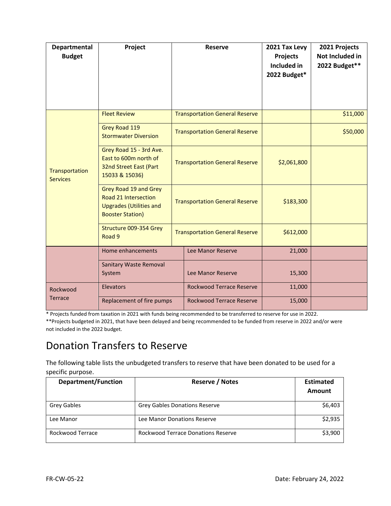| <b>Departmental</b><br><b>Budget</b> | Project                                                                                                    |                                       | <b>Reserve</b>                        | 2021 Tax Levy<br><b>Projects</b><br>Included in<br>2022 Budget* | 2021 Projects<br>Not Included in<br>2022 Budget** |
|--------------------------------------|------------------------------------------------------------------------------------------------------------|---------------------------------------|---------------------------------------|-----------------------------------------------------------------|---------------------------------------------------|
|                                      | <b>Fleet Review</b>                                                                                        |                                       | <b>Transportation General Reserve</b> |                                                                 | \$11,000                                          |
|                                      | Grey Road 119<br><b>Stormwater Diversion</b>                                                               |                                       | <b>Transportation General Reserve</b> |                                                                 | \$50,000                                          |
| Transportation<br><b>Services</b>    | Grey Road 15 - 3rd Ave.<br>East to 600m north of<br>32nd Street East (Part<br>15033 & 15036)               |                                       | <b>Transportation General Reserve</b> | \$2,061,800                                                     |                                                   |
|                                      | Grey Road 19 and Grey<br>Road 21 Intersection<br><b>Upgrades (Utilities and</b><br><b>Booster Station)</b> | <b>Transportation General Reserve</b> |                                       | \$183,300                                                       |                                                   |
|                                      | Structure 009-354 Grey<br>Road 9                                                                           |                                       | <b>Transportation General Reserve</b> | \$612,000                                                       |                                                   |
|                                      | Home enhancements                                                                                          |                                       | Lee Manor Reserve                     | 21,000                                                          |                                                   |
|                                      | <b>Sanitary Waste Removal</b><br>System                                                                    |                                       | Lee Manor Reserve                     | 15,300                                                          |                                                   |
| Rockwood                             | <b>Elevators</b>                                                                                           |                                       | <b>Rockwood Terrace Reserve</b>       | 11,000                                                          |                                                   |
| <b>Terrace</b>                       | Replacement of fire pumps                                                                                  |                                       | <b>Rockwood Terrace Reserve</b>       | 15,000                                                          |                                                   |

\* Projects funded from taxation in 2021 with funds being recommended to be transferred to reserve for use in 2022.

\*\*Projects budgeted in 2021, that have been delayed and being recommended to be funded from reserve in 2022 and/or were not included in the 2022 budget.

#### Donation Transfers to Reserve

The following table lists the unbudgeted transfers to reserve that have been donated to be used for a specific purpose.

| <b>Department/Function</b> | <b>Reserve / Notes</b>                    | <b>Estimated</b> |
|----------------------------|-------------------------------------------|------------------|
|                            |                                           | Amount           |
| <b>Grey Gables</b>         | <b>Grey Gables Donations Reserve</b>      | \$6,403          |
| Lee Manor                  | Lee Manor Donations Reserve               | \$2,935          |
| Rockwood Terrace           | <b>Rockwood Terrace Donations Reserve</b> | \$3,900          |